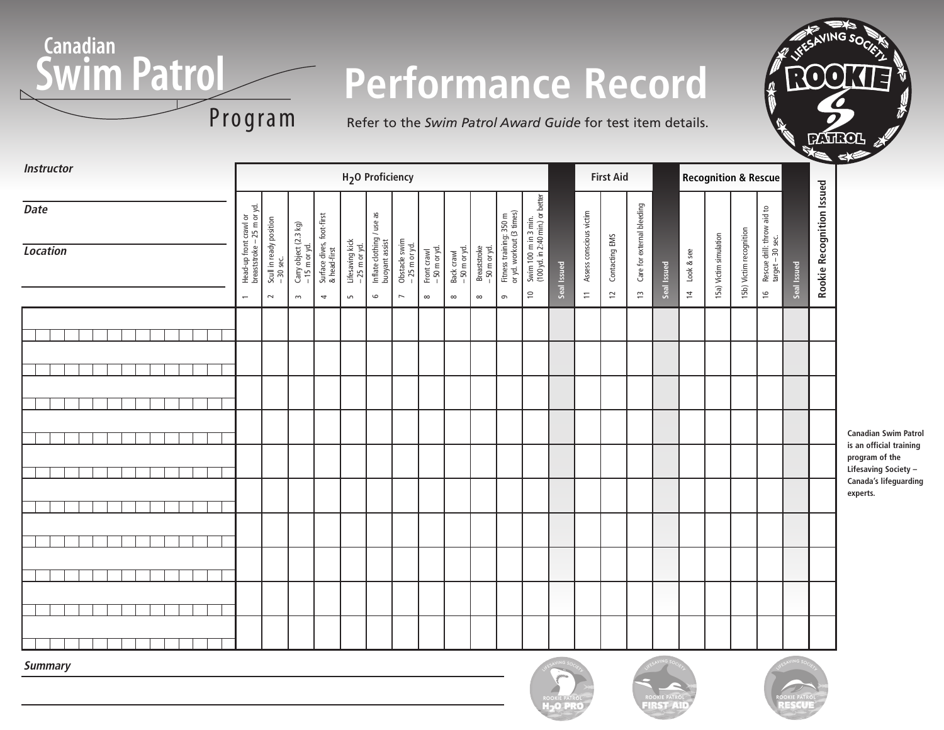

# **Performance Record**

Refer to the *Swim Patrol Award Guide* for test item details.

| <b>Instructor</b>              |                                                                                                                                    |                                                                                                                                     |                                                                               | H <sub>2</sub> O Proficiency                                                             |                                          |                                         |                                           |                                                          |                                                                                       |             |                                     | <b>First Aid</b><br><b>Recognition &amp; Rescue</b> |                                  |             |                              |                        |                         |                                                                 |             |                           |
|--------------------------------|------------------------------------------------------------------------------------------------------------------------------------|-------------------------------------------------------------------------------------------------------------------------------------|-------------------------------------------------------------------------------|------------------------------------------------------------------------------------------|------------------------------------------|-----------------------------------------|-------------------------------------------|----------------------------------------------------------|---------------------------------------------------------------------------------------|-------------|-------------------------------------|-----------------------------------------------------|----------------------------------|-------------|------------------------------|------------------------|-------------------------|-----------------------------------------------------------------|-------------|---------------------------|
| <b>Date</b><br><b>Location</b> | Head-up front crawl or<br>breaststroke – 25 m or yd.<br>Scull in ready position<br>- 30 sec.<br>$\sim$<br>$\overline{\phantom{0}}$ | Surface dives, foot-first<br>& head-first<br>Carry object $(2.3 \text{ kg})$<br>- 15 m or yd.<br>$\sim$<br>$\overline{\phantom{a}}$ | Inflate clothing / use as<br>Lifesaving kick<br>- 25 m or yd.<br>$\mathsf{L}$ | Obstacle swim<br>$-25$ m or yd.<br>buoyant assist<br>$\circ$<br>$\overline{\phantom{0}}$ | Front crawl<br>- 50 m or yd.<br>$\infty$ | Back crawl<br>- 50 m or yd.<br>$\infty$ | Breaststroke<br>- 50 m or yd.<br>$\infty$ | Fitness training: 350 m<br>or yd. workout (3 times)<br>G | Swim 100 m in 3 min.<br>(100 yd. in 2:40 min.) or better<br>$\mathrel{\mathop{\cup}}$ | Seal Issued | Assess conscious victim<br>$\equiv$ | Contacting EMS<br>$\overline{c}$                    | Care for external bleeding<br>13 | Seal Issued | Look & see<br>$\overline{a}$ | 15a) Victim simulation | 15b) Victim recognition | Rescue drill: throw aid to<br>target - 30 sec.<br>$\frac{1}{2}$ | Seal Issued | Rookie Recognition Issued |
|                                |                                                                                                                                    |                                                                                                                                     |                                                                               |                                                                                          |                                          |                                         |                                           |                                                          |                                                                                       |             |                                     |                                                     |                                  |             |                              |                        |                         |                                                                 |             |                           |
|                                |                                                                                                                                    |                                                                                                                                     |                                                                               |                                                                                          |                                          |                                         |                                           |                                                          |                                                                                       |             |                                     |                                                     |                                  |             |                              |                        |                         |                                                                 |             |                           |
|                                |                                                                                                                                    |                                                                                                                                     |                                                                               |                                                                                          |                                          |                                         |                                           |                                                          |                                                                                       |             |                                     |                                                     |                                  |             |                              |                        |                         |                                                                 |             |                           |
|                                |                                                                                                                                    |                                                                                                                                     |                                                                               |                                                                                          |                                          |                                         |                                           |                                                          |                                                                                       |             |                                     |                                                     |                                  |             |                              |                        |                         |                                                                 |             |                           |
|                                |                                                                                                                                    |                                                                                                                                     |                                                                               |                                                                                          |                                          |                                         |                                           |                                                          |                                                                                       |             |                                     |                                                     |                                  |             |                              |                        |                         |                                                                 |             |                           |
|                                |                                                                                                                                    |                                                                                                                                     |                                                                               |                                                                                          |                                          |                                         |                                           |                                                          |                                                                                       |             |                                     |                                                     |                                  |             |                              |                        |                         |                                                                 |             |                           |
|                                |                                                                                                                                    |                                                                                                                                     |                                                                               |                                                                                          |                                          |                                         |                                           |                                                          |                                                                                       |             |                                     |                                                     |                                  |             |                              |                        |                         |                                                                 |             |                           |
|                                |                                                                                                                                    |                                                                                                                                     |                                                                               |                                                                                          |                                          |                                         |                                           |                                                          |                                                                                       |             |                                     |                                                     |                                  |             |                              |                        |                         |                                                                 |             |                           |
|                                |                                                                                                                                    |                                                                                                                                     |                                                                               |                                                                                          |                                          |                                         |                                           |                                                          |                                                                                       |             |                                     |                                                     |                                  |             |                              |                        |                         |                                                                 |             |                           |
|                                |                                                                                                                                    |                                                                                                                                     |                                                                               |                                                                                          |                                          |                                         |                                           |                                                          |                                                                                       |             |                                     |                                                     |                                  |             |                              |                        |                         |                                                                 |             |                           |
|                                |                                                                                                                                    |                                                                                                                                     |                                                                               |                                                                                          |                                          |                                         |                                           |                                                          |                                                                                       |             |                                     |                                                     |                                  |             |                              |                        |                         |                                                                 |             |                           |
|                                |                                                                                                                                    |                                                                                                                                     |                                                                               |                                                                                          |                                          |                                         |                                           |                                                          |                                                                                       |             |                                     |                                                     |                                  |             |                              |                        |                         |                                                                 |             |                           |
|                                |                                                                                                                                    |                                                                                                                                     |                                                                               |                                                                                          |                                          |                                         |                                           |                                                          |                                                                                       |             |                                     |                                                     |                                  |             |                              |                        |                         |                                                                 |             |                           |
|                                |                                                                                                                                    |                                                                                                                                     |                                                                               |                                                                                          |                                          |                                         |                                           |                                                          |                                                                                       |             |                                     |                                                     |                                  |             |                              |                        |                         |                                                                 |             |                           |

**Canadian Swim Patrol is an official training program of the Lifesaving Society – Canada's lifeguarding experts.**

**Summary**





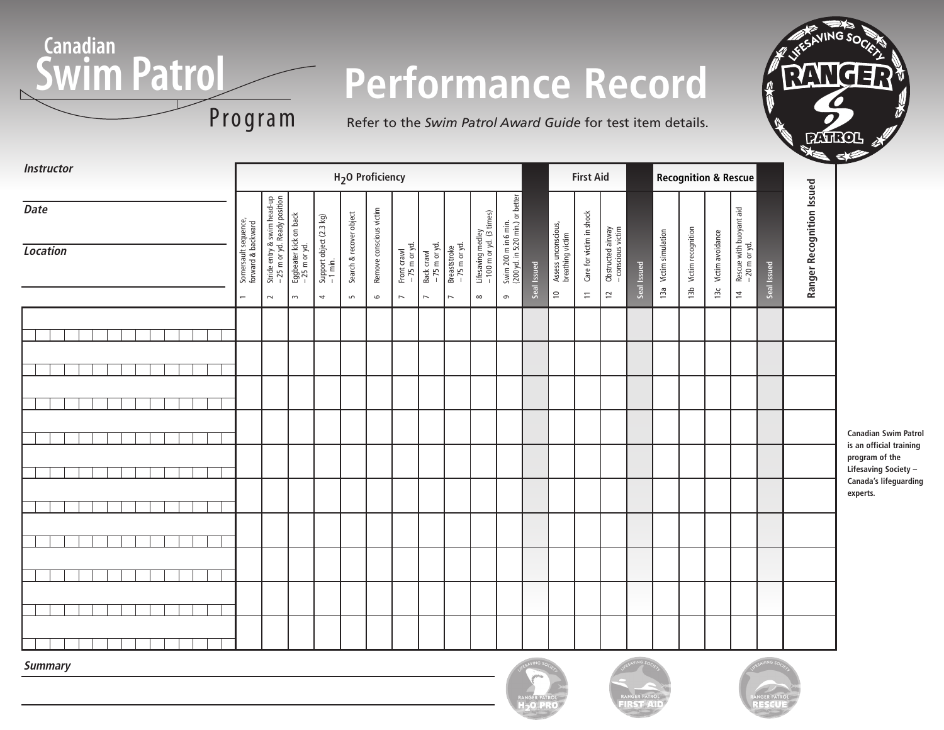

Refer to the *Swim Patrol Award Guide* for test item details.



**Summary**







**Canadian Swim Patrol is an official training program of the Lifesaving Society – Canada's lifeguarding experts.**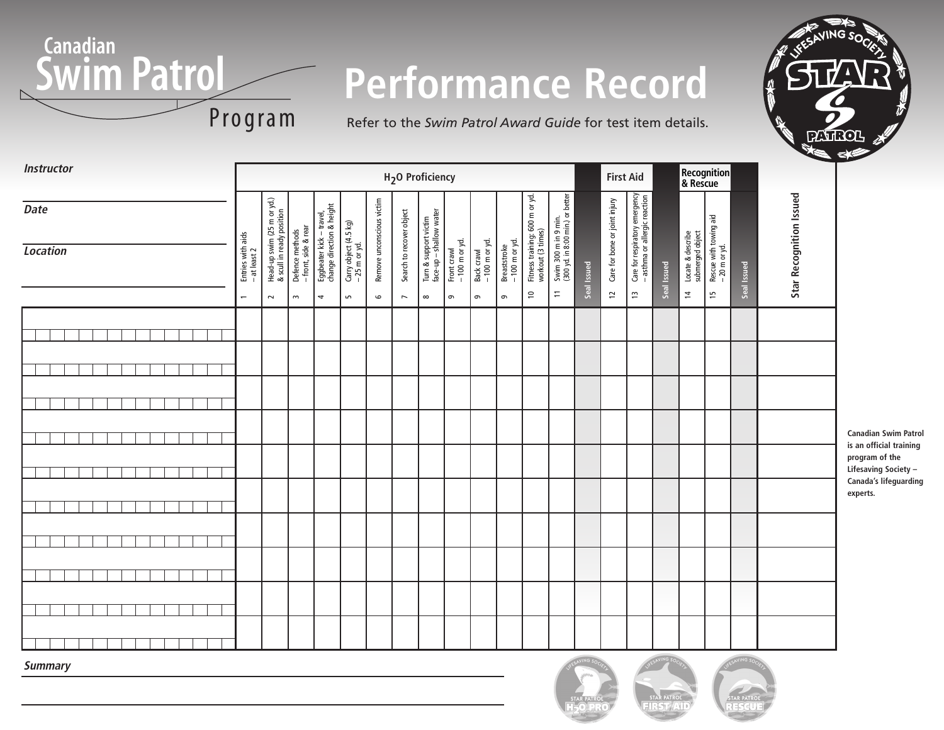

# **Performance Record**

Refer to the *Swim Patrol Award Guide* for test item details.



**Canadian Swim Patrol is an official training program of the Lifesaving Society – Canada's lifeguarding**

**experts.**

| <b>Instructor</b>       | H <sub>2</sub> O Proficiency                                  |                                                                   |                                                         |                                                            |                                            |                                      |                                                      |                                                              |                                           |                                          |                                             | <b>First Aid</b>                                                 |                                                                                     |             | Recognition<br>& Rescue                         |                                                                       |             |                                                         |                                              |             |                                |
|-------------------------|---------------------------------------------------------------|-------------------------------------------------------------------|---------------------------------------------------------|------------------------------------------------------------|--------------------------------------------|--------------------------------------|------------------------------------------------------|--------------------------------------------------------------|-------------------------------------------|------------------------------------------|---------------------------------------------|------------------------------------------------------------------|-------------------------------------------------------------------------------------|-------------|-------------------------------------------------|-----------------------------------------------------------------------|-------------|---------------------------------------------------------|----------------------------------------------|-------------|--------------------------------|
| Date<br><b>Location</b> | Entries with aids<br>- at least 2<br>$\overline{\phantom{0}}$ | Head-up swim (25 m or yd.)<br>& scull in ready position<br>$\sim$ | Defence methods<br>- front, side & rear<br>$\mathsf{L}$ | Eggbeater kick – travel,<br>change direction & height<br>4 | Carry object (4.5 kg)<br>-25 m or yd.<br>S | Remove unconscious victim<br>$\circ$ | Search to recover object<br>$\overline{\phantom{0}}$ | Turn & support victim<br>face-up – shallow water<br>$\infty$ | Front crawl<br>- 100 m or yd.<br>$\sigma$ | Back crawl<br>- 100 m or yd.<br>$\sigma$ | $-100$ m or yd.<br><b>Breaststroke</b><br>G | Fitness training: 600 m or yd.<br>workout (3 times)<br>$\approx$ | Swim 300 m in 9 min.<br>(300 yd. in 8:00 min.) or better<br>$\overline{\mathbb{H}}$ | Seal Issued | Care for bone or joint injury<br>$\overline{u}$ | Care for respiratory emergency<br>- asthma or allergic reaction<br>IJ | Seal Issued | Locate & describe<br>submerged object<br>$\overline{a}$ | Rescue with towing aid<br>- 20 m or yd.<br>5 | Seal Issued | <b>Star Recognition Issued</b> |
|                         |                                                               |                                                                   |                                                         |                                                            |                                            |                                      |                                                      |                                                              |                                           |                                          |                                             |                                                                  |                                                                                     |             |                                                 |                                                                       |             |                                                         |                                              |             |                                |
|                         |                                                               |                                                                   |                                                         |                                                            |                                            |                                      |                                                      |                                                              |                                           |                                          |                                             |                                                                  |                                                                                     |             |                                                 |                                                                       |             |                                                         |                                              |             |                                |
|                         |                                                               |                                                                   |                                                         |                                                            |                                            |                                      |                                                      |                                                              |                                           |                                          |                                             |                                                                  |                                                                                     |             |                                                 |                                                                       |             |                                                         |                                              |             |                                |
|                         |                                                               |                                                                   |                                                         |                                                            |                                            |                                      |                                                      |                                                              |                                           |                                          |                                             |                                                                  |                                                                                     |             |                                                 |                                                                       |             |                                                         |                                              |             |                                |
|                         |                                                               |                                                                   |                                                         |                                                            |                                            |                                      |                                                      |                                                              |                                           |                                          |                                             |                                                                  |                                                                                     |             |                                                 |                                                                       |             |                                                         |                                              |             |                                |
|                         |                                                               |                                                                   |                                                         |                                                            |                                            |                                      |                                                      |                                                              |                                           |                                          |                                             |                                                                  |                                                                                     |             |                                                 |                                                                       |             |                                                         |                                              |             |                                |
|                         |                                                               |                                                                   |                                                         |                                                            |                                            |                                      |                                                      |                                                              |                                           |                                          |                                             |                                                                  |                                                                                     |             |                                                 |                                                                       |             |                                                         |                                              |             |                                |
|                         |                                                               |                                                                   |                                                         |                                                            |                                            |                                      |                                                      |                                                              |                                           |                                          |                                             |                                                                  |                                                                                     |             |                                                 |                                                                       |             |                                                         |                                              |             |                                |
|                         |                                                               |                                                                   |                                                         |                                                            |                                            |                                      |                                                      |                                                              |                                           |                                          |                                             |                                                                  |                                                                                     |             |                                                 |                                                                       |             |                                                         |                                              |             |                                |
|                         |                                                               |                                                                   |                                                         |                                                            |                                            |                                      |                                                      |                                                              |                                           |                                          |                                             |                                                                  |                                                                                     |             |                                                 |                                                                       |             |                                                         |                                              |             |                                |

**Summary**